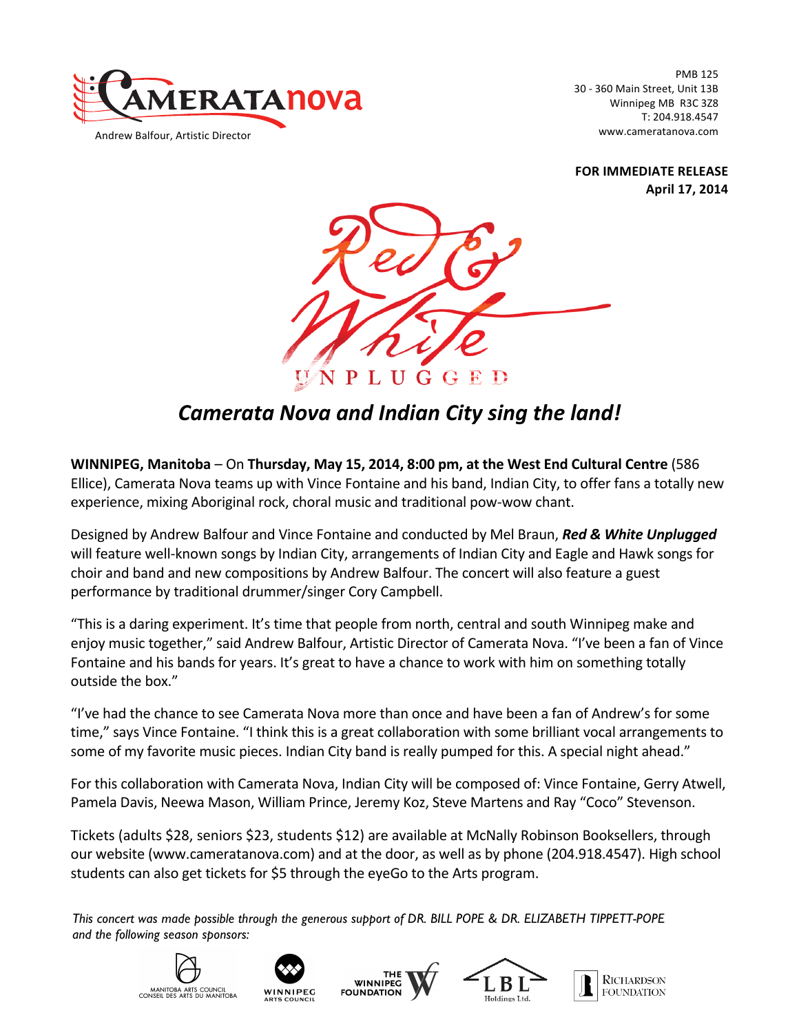

PMB 125 30 - 360 Main Street, Unit 13B Winnipeg MB R3C 3Z8 T: 204.918.4547 www.cameratanova.com

**FOR IMMEDIATE RELEASE April 17, 2014**



## *Camerata Nova and Indian City sing the land!*

**WINNIPEG, Manitoba** - On Thursday, May 15, 2014, 8:00 pm, at the West End Cultural Centre (586 Ellice), Camerata Nova teams up with Vince Fontaine and his band, Indian City, to offer fans a totally new experience, mixing Aboriginal rock, choral music and traditional pow-wow chant.

Designed by Andrew Balfour and Vince Fontaine and conducted by Mel Braun, **Red & White Unplugged** will feature well-known songs by Indian City, arrangements of Indian City and Eagle and Hawk songs for choir and band and new compositions by Andrew Balfour. The concert will also feature a guest performance by traditional drummer/singer Cory Campbell.

"This is a daring experiment. It's time that people from north, central and south Winnipeg make and enjoy music together," said Andrew Balfour, Artistic Director of Camerata Nova. "I've been a fan of Vince Fontaine and his bands for years. It's great to have a chance to work with him on something totally outside the box."

"I've had the chance to see Camerata Nova more than once and have been a fan of Andrew's for some time," says Vince Fontaine. "I think this is a great collaboration with some brilliant vocal arrangements to some of my favorite music pieces. Indian City band is really pumped for this. A special night ahead."

For this collaboration with Camerata Nova, Indian City will be composed of: Vince Fontaine, Gerry Atwell, Pamela Davis, Neewa Mason, William Prince, Jeremy Koz, Steve Martens and Ray "Coco" Stevenson.

Tickets (adults \$28, seniors \$23, students \$12) are available at McNally Robinson Booksellers, through our website (www.cameratanova.com) and at the door, as well as by phone (204.918.4547). High school students can also get tickets for \$5 through the eyeGo to the Arts program.

*This concert was made possible through the generous support of DR. BILL POPE & DR. ELIZABETH TIPPETT-POPE and the following season sponsors:*